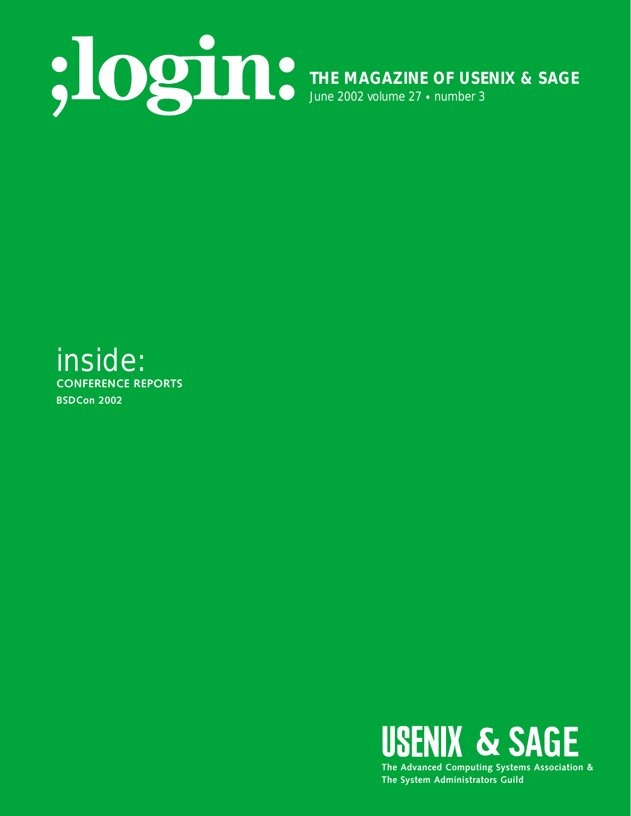

# inside: **CONFERENCE REPORTS BSDCon 2002**

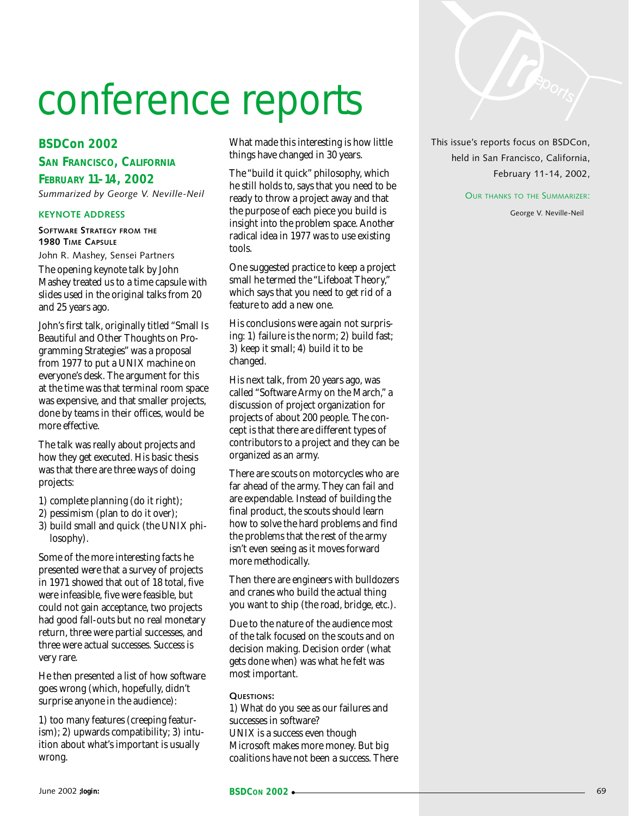# conference reports

## **BSDCon 2002**

**SAN FRANCISCO, CALIFORNIA**

**FEBRUARY 11–14, 2002** *Summarized by George V. Neville-Neil*

#### **KEYNOTE ADDRESS**

**SOFTWARE STRATEGY FROM THE 1980 TIME CAPSULE**

John R. Mashey, Sensei Partners

The opening keynote talk by John Mashey treated us to a time capsule with slides used in the original talks from 20 and 25 years ago.

John's first talk, originally titled "Small Is Beautiful and Other Thoughts on Programming Strategies" was a proposal from 1977 to put a UNIX machine on everyone's desk. The argument for this at the time was that terminal room space was expensive, and that smaller projects, done by teams in their offices, would be more effective.

The talk was really about projects and how they get executed. His basic thesis was that there are three ways of doing projects:

- 1) complete planning (do it right);
- 2) pessimism (plan to do it over);
- 3) build small and quick (the UNIX philosophy).

Some of the more interesting facts he presented were that a survey of projects in 1971 showed that out of 18 total, five were infeasible, five were feasible, but could not gain acceptance, two projects had good fall-outs but no real monetary return, three were partial successes, and three were actual successes. Success is very rare.

He then presented a list of how software goes wrong (which, hopefully, didn't surprise anyone in the audience):

1) too many features (creeping featurism); 2) upwards compatibility; 3) intuition about what's important is usually wrong.

What made this interesting is how little things have changed in 30 years.

The "build it quick" philosophy, which he still holds to, says that you need to be ready to throw a project away and that the purpose of each piece you build is insight into the problem space. Another radical idea in 1977 was to use existing tools.

One suggested practice to keep a project small he termed the "Lifeboat Theory," which says that you need to get rid of a feature to add a new one.

His conclusions were again not surprising: 1) failure is the norm; 2) build fast; 3) keep it small; 4) build it to be changed.

His next talk, from 20 years ago, was called "Software Army on the March," a discussion of project organization for projects of about 200 people. The concept is that there are different types of contributors to a project and they can be organized as an army.

There are scouts on motorcycles who are far ahead of the army. They can fail and are expendable. Instead of building the final product, the scouts should learn how to solve the hard problems and find the problems that the rest of the army isn't even seeing as it moves forward more methodically.

Then there are engineers with bulldozers and cranes who build the actual thing you want to ship (the road, bridge, etc.).

Due to the nature of the audience most of the talk focused on the scouts and on decision making. Decision order (what gets done when) was what he felt was most important.

#### **QUESTIONS:**

1) What do you see as our failures and successes in software? UNIX is a success even though Microsoft makes more money. But big coalitions have not been a success. There This issue's reports focus on BSDCon, held in San Francisco, California, February 11-14, 2002,

OUR THANKS TO THE SUMMARIZER:

George V. Neville-Neil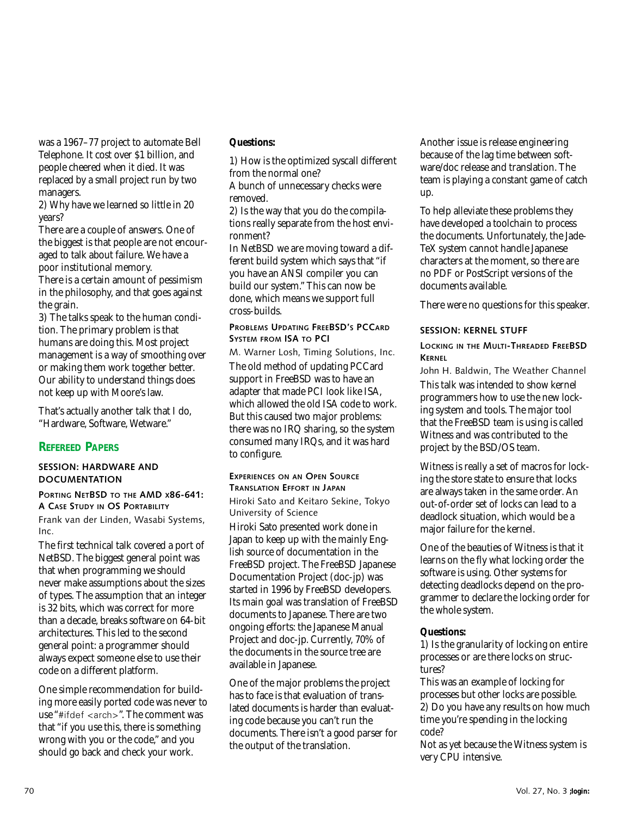was a 1967–77 project to automate Bell Telephone. It cost over \$1 billion, and people cheered when it died. It was replaced by a small project run by two managers.

2) Why have we learned so little in 20 years?

There are a couple of answers. One of the biggest is that people are not encouraged to talk about failure. We have a poor institutional memory.

There is a certain amount of pessimism in the philosophy, and that goes against the grain.

3) The talks speak to the human condition. The primary problem is that humans are doing this. Most project management is a way of smoothing over or making them work together better. Our ability to understand things does not keep up with Moore's law.

That's actually another talk that I do, "Hardware, Software, Wetware."

# **REFEREED PAPERS**

#### **SESSION: HARDWARE AND DOCUMENTATION**

#### **PORTING NETBSD TO THE AMD X86-641: A CASE STUDY IN OS PORTABILITY**

Frank van der Linden, Wasabi Systems, Inc.

The first technical talk covered a port of NetBSD. The biggest general point was that when programming we should never make assumptions about the sizes of types. The assumption that an integer is 32 bits, which was correct for more than a decade, breaks software on 64-bit architectures. This led to the second general point: a programmer should always expect someone else to use their code on a different platform.

One simple recommendation for building more easily ported code was never to use "#ifdef <arch>". The comment was that "if you use this, there is something wrong with you or the code," and you should go back and check your work.

#### **Questions:**

1) How is the optimized syscall different from the normal one?

A bunch of unnecessary checks were removed.

2) Is the way that you do the compilations really separate from the host environment?

In NetBSD we are moving toward a different build system which says that "if you have an ANSI compiler you can build our system." This can now be done, which means we support full cross-builds.

#### **PROBLEMS UPDATING FREEBSD'S PCCARD SYSTEM FROM ISA TO PCI**

M. Warner Losh, Timing Solutions, Inc. The old method of updating PCCard support in FreeBSD was to have an adapter that made PCI look like ISA, which allowed the old ISA code to work. But this caused two major problems: there was no IRQ sharing, so the system consumed many IRQs, and it was hard to configure.

# **EXPERIENCES ON AN OPEN SOURCE TRANSLATION EFFORT IN JAPAN**

Hiroki Sato and Keitaro Sekine, Tokyo University of Science

Hiroki Sato presented work done in Japan to keep up with the mainly English source of documentation in the FreeBSD project. The FreeBSD Japanese Documentation Project (doc-jp) was started in 1996 by FreeBSD developers. Its main goal was translation of FreeBSD documents to Japanese. There are two ongoing efforts: the Japanese Manual Project and doc-jp. Currently, 70% of the documents in the source tree are available in Japanese.

One of the major problems the project has to face is that evaluation of translated documents is harder than evaluating code because you can't run the documents. There isn't a good parser for the output of the translation.

Another issue is release engineering because of the lag time between software/doc release and translation. The team is playing a constant game of catch up.

To help alleviate these problems they have developed a toolchain to process the documents. Unfortunately, the Jade-TeX system cannot handle Japanese characters at the moment, so there are no PDF or PostScript versions of the documents available.

There were no questions for this speaker.

#### **SESSION: KERNEL STUFF**

#### **LOCKING IN THE MULTI-THREADED FREEBSD KERNEL**

John H. Baldwin, The Weather Channel This talk was intended to show kernel programmers how to use the new locking system and tools. The major tool that the FreeBSD team is using is called Witness and was contributed to the project by the BSD/OS team.

Witness is really a set of macros for locking the store state to ensure that locks are always taken in the same order. An out-of-order set of locks can lead to a deadlock situation, which would be a major failure for the kernel.

One of the beauties of Witness is that it learns on the fly what locking order the software is using. Other systems for detecting deadlocks depend on the programmer to declare the locking order for the whole system.

#### **Questions:**

1) Is the granularity of locking on entire processes or are there locks on structures?

This was an example of locking for processes but other locks are possible. 2) Do you have any results on how much time you're spending in the locking code?

Not as yet because the Witness system is very CPU intensive.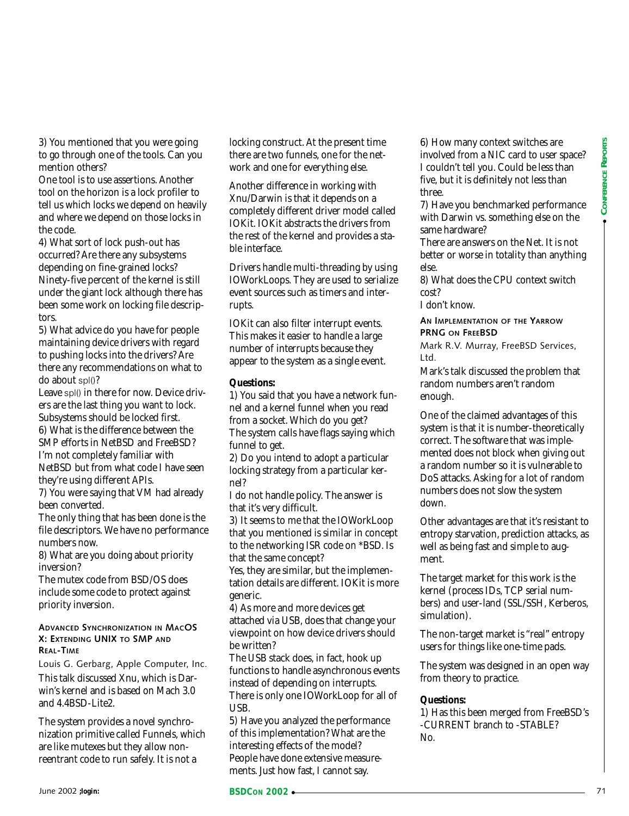3) You mentioned that you were going to go through one of the tools. Can you mention others?

One tool is to use assertions. Another tool on the horizon is a lock profiler to tell us which locks we depend on heavily and where we depend on those locks in the code.

4) What sort of lock push-out has occurred? Are there any subsystems depending on fine-grained locks? Ninety-five percent of the kernel is still under the giant lock although there has been some work on locking file descriptors.

5) What advice do you have for people maintaining device drivers with regard to pushing locks into the drivers? Are there any recommendations on what to do about spl()?

Leave spl() in there for now. Device drivers are the last thing you want to lock. Subsystems should be locked first. 6) What is the difference between the

SMP efforts in NetBSD and FreeBSD? I'm not completely familiar with NetBSD but from what code I have seen they're using different APIs.

7) You were saying that VM had already been converted.

The only thing that has been done is the file descriptors. We have no performance numbers now.

8) What are you doing about priority inversion?

The mutex code from BSD/OS does include some code to protect against priority inversion.

#### **ADVANCED SYNCHRONIZATION IN MACOS X: EXTENDING UNIX TO SMP AND REAL-TIME**

Louis G. Gerbarg, Apple Computer, Inc.

This talk discussed Xnu, which is Darwin's kernel and is based on Mach 3.0 and 4.4BSD-Lite2.

The system provides a novel synchronization primitive called Funnels, which are like mutexes but they allow nonreentrant code to run safely. It is not a

locking construct. At the present time there are two funnels, one for the network and one for everything else.

Another difference in working with Xnu/Darwin is that it depends on a completely different driver model called IOKit. IOKit abstracts the drivers from the rest of the kernel and provides a stable interface.

Drivers handle multi-threading by using IOWorkLoops. They are used to serialize event sources such as timers and interrupts.

IOKit can also filter interrupt events. This makes it easier to handle a large number of interrupts because they appear to the system as a single event.

#### **Questions:**

1) You said that you have a network funnel and a kernel funnel when you read from a socket. Which do you get? The system calls have flags saying which funnel to get.

2) Do you intend to adopt a particular locking strategy from a particular kernel?

I do not handle policy. The answer is that it's very difficult.

3) It seems to me that the IOWorkLoop that you mentioned is similar in concept to the networking ISR code on \*BSD. Is that the same concept?

Yes, they are similar, but the implementation details are different. IOKit is more generic.

4) As more and more devices get attached via USB, does that change your viewpoint on how device drivers should be written?

The USB stack does, in fact, hook up functions to handle asynchronous events instead of depending on interrupts. There is only one IOWorkLoop for all of USB.

5) Have you analyzed the performance of this implementation? What are the interesting effects of the model? People have done extensive measurements. Just how fast, I cannot say.

6) How many context switches are involved from a NIC card to user space? I couldn't tell you. Could be less than five, but it is definitely not less than three.

7) Have you benchmarked performance with Darwin vs. something else on the same hardware?

There are answers on the Net. It is not better or worse in totality than anything else.

8) What does the CPU context switch cost?

I don't know.

**AN IMPLEMENTATION OF THE YARROW PRNG ON FREEBSD**

Mark R.V. Murray, FreeBSD Services, Ltd.

Mark's talk discussed the problem that random numbers aren't random enough.

The complete the specific of the interfect divisor delivery from a month and provide a single term of the New York 1002 and the main and the specific of the specific of the specific of the specific of the specific of the One of the claimed advantages of this system is that it is number-theoretically correct. The software that was implemented does not block when giving out a random number so it is vulnerable to DoS attacks. Asking for a lot of random numbers does not slow the system down.

Other advantages are that it's resistant to entropy starvation, prediction attacks, as well as being fast and simple to augment.

The target market for this work is the kernel (process IDs, TCP serial numbers) and user-land (SSL/SSH, Kerberos, simulation).

The non-target market is "real" entropy users for things like one-time pads.

The system was designed in an open way from theory to practice.

#### **Questions:**

1) Has this been merged from FreeBSD's -CURRENT branch to -STABLE? No.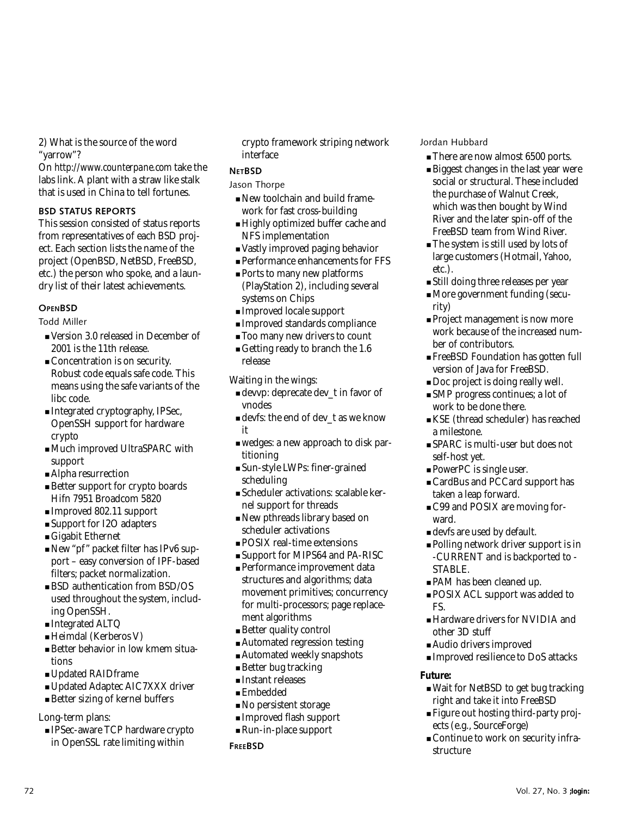2) What is the source of the word "yarrow"?

On *<http://www.counterpane.com>* take the labs link. A plant with a straw like stalk that is used in China to tell fortunes.

#### **BSD STATUS REPORTS**

This session consisted of status reports from representatives of each BSD project. Each section lists the name of the project (OpenBSD, NetBSD, FreeBSD, etc.) the person who spoke, and a laundry list of their latest achievements.

#### **OPENBSD**

Todd Miller

- Version 3.0 released in December of 2001 is the 11th release.
- Concentration is on security. Robust code equals safe code. This means using the safe variants of the libc code.
- Integrated cryptography, IPSec, OpenSSH support for hardware crypto
- Much improved UltraSPARC with support
- Alpha resurrection
- Better support for crypto boards Hifn 7951 Broadcom 5820
- Improved 802.11 support
- Support for I2O adapters
- Gigabit Ethernet
- New "pf" packet filter has IPv6 support – easy conversion of IPF-based filters; packet normalization.
- BSD authentication from BSD/OS used throughout the system, including OpenSSH.
- Integrated ALTQ
- Heimdal (Kerberos V)
- Better behavior in low kmem situations
- Updated RAIDframe
- Updated Adaptec AIC7XXX driver
- Better sizing of kernel buffers

#### Long-term plans:

■ IPSec-aware TCP hardware crypto in OpenSSL rate limiting within

crypto framework striping network interface

### **NETBSD**

#### Jason Thorpe

- New toolchain and build framework for fast cross-building
- Highly optimized buffer cache and NFS implementation
- Vastly improved paging behavior
- Performance enhancements for FFS
- Ports to many new platforms (PlayStation 2), including several systems on Chips
- Improved locale support
- Improved standards compliance
- Too many new drivers to count
- Getting ready to branch the 1.6 release

Waiting in the wings:

- devvp: deprecate dev\_t in favor of vnodes
- devfs: the end of dev\_t as we know it
- wedges: a new approach to disk partitioning
- Sun-style LWPs: finer-grained scheduling
- Scheduler activations: scalable kernel support for threads
- New pthreads library based on scheduler activations
- POSIX real-time extensions
- Support for MIPS64 and PA-RISC
- Performance improvement data structures and algorithms; data movement primitives; concurrency for multi-processors; page replacement algorithms
- Better quality control
- Automated regression testing
- Automated weekly snapshots
- Better bug tracking
- Instant releases
- Embedded
- No persistent storage
- Improved flash support
- Run-in-place support
- **FREEBSD**

Jordan Hubbard

- There are now almost 6500 ports.
- Biggest changes in the last year were social or structural. These included the purchase of Walnut Creek, which was then bought by Wind River and the later spin-off of the FreeBSD team from Wind River.
- The system is still used by lots of large customers (Hotmail, Yahoo, etc.).
- Still doing three releases per year
- More government funding (security)
- Project management is now more work because of the increased number of contributors.
- FreeBSD Foundation has gotten full version of Java for FreeBSD.
- Doc project is doing really well.
- SMP progress continues; a lot of work to be done there.
- KSE (thread scheduler) has reached a milestone.
- SPARC is multi-user but does not self-host yet.
- PowerPC is single user.
- CardBus and PCCard support has taken a leap forward.
- C99 and POSIX are moving forward.
- devfs are used by default.
- Polling network driver support is in -CURRENT and is backported to - STABLE.
- PAM has been cleaned up.
- POSIX ACL support was added to FS.
- Hardware drivers for NVIDIA and other 3D stuff
- Audio drivers improved
- Improved resilience to DoS attacks

#### **Future:**

- Wait for NetBSD to get bug tracking right and take it into FreeBSD
- Figure out hosting third-party projects (e.g., SourceForge)
- Continue to work on security infrastructure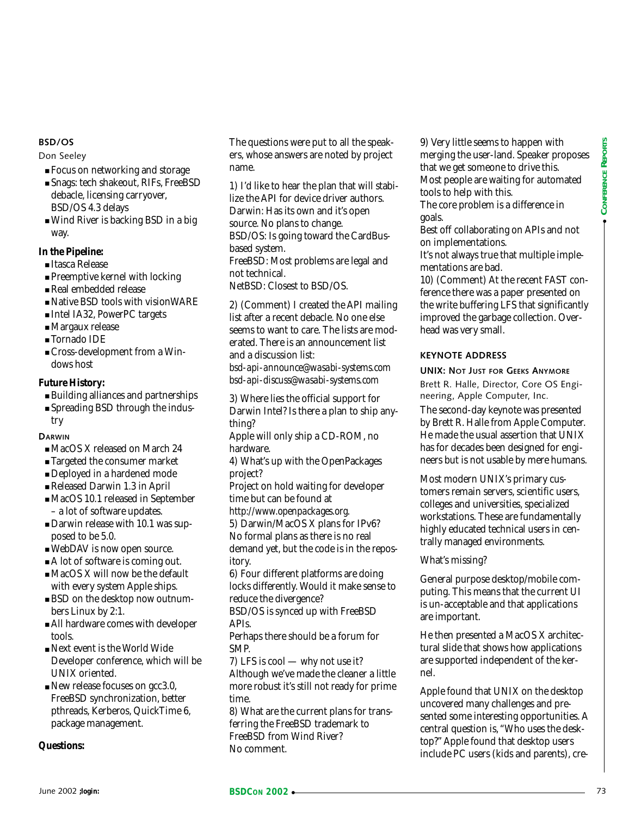#### **BSD/OS**

#### Don Seeley

- Focus on networking and storage
- Snags: tech shakeout, RIFs, FreeBSD debacle, licensing carryover, BSD/OS 4.3 delays
- Wind River is backing BSD in a big way.

#### **In the Pipeline:**

- Itasca Release
- Preemptive kernel with locking
- Real embedded release
- Native BSD tools with visionWARE
- Intel IA32, PowerPC targets
- Margaux release
- Tornado IDE
- Cross-development from a Windows host

#### **Future History:**

- Building alliances and partnerships
- Spreading BSD through the industry

**DARWIN**

- MacOS X released on March 24
- Targeted the consumer market
- Deployed in a hardened mode
- Released Darwin 1.3 in April
- MacOS 10.1 released in September – a lot of software updates.
- Darwin release with 10.1 was supposed to be 5.0.
- WebDAV is now open source.
- A lot of software is coming out.
- MacOS X will now be the default with every system Apple ships.
- BSD on the desktop now outnumbers Linux by 2:1.
- All hardware comes with developer tools.
- Next event is the World Wide Developer conference, which will be UNIX oriented.
- New release focuses on gcc3.0, FreeBSD synchronization, better pthreads, Kerberos, QuickTime 6, package management.

#### **Questions:**

The questions were put to all the speakers, whose answers are noted by project name.

1) I'd like to hear the plan that will stabilize the API for device driver authors. Darwin: Has its own and it's open source. No plans to change. BSD/OS: Is going toward the CardBusbased system. FreeBSD: Most problems are legal and

not technical.

NetBSD: Closest to BSD/OS.

2) (Comment) I created the API mailing list after a recent debacle. No one else seems to want to care. The lists are moderated. There is an announcement list and a discussion list:

*bsd-api-announce@wasabi-systems.com bsd-api-discuss@wasabi-systems.com*

3) Where lies the official support for Darwin Intel? Is there a plan to ship anything?

Apple will only ship a CD-ROM, no hardware.

4) What's up with the OpenPackages project?

Project on hold waiting for developer time but can be found at

*<http://www.openpackages.org>*. 5) Darwin/MacOS X plans for IPv6? No formal plans as there is no real

demand yet, but the code is in the repository.

6) Four different platforms are doing locks differently. Would it make sense to reduce the divergence?

BSD/OS is synced up with FreeBSD APIs.

Perhaps there should be a forum for SMP.

7) LFS is cool — why not use it? Although we've made the cleaner a little more robust it's still not ready for prime time.

8) What are the current plans for transferring the FreeBSD trademark to FreeBSD from Wind River? No comment.

9) Very little seems to happen with merging the user-land. Speaker proposes that we get someone to drive this. Most people are waiting for automated tools to help with this.

The core problem is a difference in goals.

Best off collaborating on APIs and not on implementations.

It's not always true that multiple implementations are bad.

10) (Comment) At the recent FAST conference there was a paper presented on the write buffering LFS that significantly improved the garbage collection. Overhead was very small.

#### **KEYNOTE ADDRESS**

**UNIX: NOT JUST FOR GEEKS ANYMORE** Brett R. Halle, Director, Core OS Engineering, Apple Computer, Inc.

The second-day keynote was presented by Brett R. Halle from Apple Computer. He made the usual assertion that UNIX has for decades been designed for engineers but is not usable by mere humans.

Most modern UNIX's primary customers remain servers, scientific users, colleges and universities, specialized workstations. These are fundamentally highly educated technical users in centrally managed environments.

What's missing?

General purpose desktop/mobile computing. This means that the current UI is un-acceptable and that applications are important.

He then presented a MacOS X architectural slide that shows how applications are supported independent of the kernel.

**• Valle Conseil and Source** Solid and Solid and Solid and Solid Collecteration in the **Figure Collection** in the **Collection** in the **Collection in the Collection in the Collection in the Collection in the Collection in** Apple found that UNIX on the desktop uncovered many challenges and presented some interesting opportunities. A central question is, "Who uses the desktop?" Apple found that desktop users include PC users (kids and parents), cre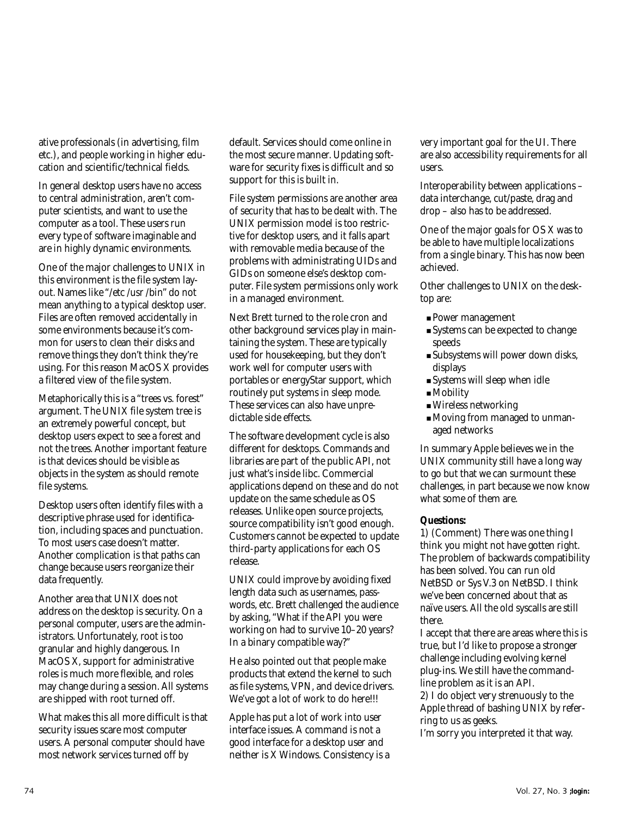ative professionals (in advertising, film etc.), and people working in higher education and scientific/technical fields.

In general desktop users have no access to central administration, aren't computer scientists, and want to use the computer as a tool. These users run every type of software imaginable and are in highly dynamic environments.

One of the major challenges to UNIX in this environment is the file system layout. Names like "/etc /usr /bin" do not mean anything to a typical desktop user. Files are often removed accidentally in some environments because it's common for users to clean their disks and remove things they don't think they're using. For this reason MacOS X provides a filtered view of the file system.

Metaphorically this is a "trees vs. forest" argument. The UNIX file system tree is an extremely powerful concept, but desktop users expect to see a forest and not the trees. Another important feature is that devices should be visible as objects in the system as should remote file systems.

Desktop users often identify files with a descriptive phrase used for identification, including spaces and punctuation. To most users case doesn't matter. Another complication is that paths can change because users reorganize their data frequently.

Another area that UNIX does not address on the desktop is security. On a personal computer, users are the administrators. Unfortunately, root is too granular and highly dangerous. In MacOS X, support for administrative roles is much more flexible, and roles may change during a session. All systems are shipped with root turned off.

What makes this all more difficult is that security issues scare most computer users. A personal computer should have most network services turned off by

default. Services should come online in the most secure manner. Updating software for security fixes is difficult and so support for this is built in.

File system permissions are another area of security that has to be dealt with. The UNIX permission model is too restrictive for desktop users, and it falls apart with removable media because of the problems with administrating UIDs and GIDs on someone else's desktop computer. File system permissions only work in a managed environment.

Next Brett turned to the role cron and other background services play in maintaining the system. These are typically used for housekeeping, but they don't work well for computer users with portables or energyStar support, which routinely put systems in sleep mode. These services can also have unpredictable side effects.

The software development cycle is also different for desktops. Commands and libraries are part of the public API, not just what's inside libc. Commercial applications depend on these and do not update on the same schedule as OS releases. Unlike open source projects, source compatibility isn't good enough. Customers cannot be expected to update third-party applications for each OS release.

UNIX could improve by avoiding fixed length data such as usernames, passwords, etc. Brett challenged the audience by asking, "What if the API you were working on had to survive 10–20 years? In a binary compatible way?"

He also pointed out that people make products that extend the kernel to such as file systems, VPN, and device drivers. We've got a lot of work to do here!!!

Apple has put a lot of work into user interface issues. A command is not a good interface for a desktop user and neither is X Windows. Consistency is a very important goal for the UI. There are also accessibility requirements for all users.

Interoperability between applications – data interchange, cut/paste, drag and drop – also has to be addressed.

One of the major goals for OS X was to be able to have multiple localizations from a single binary. This has now been achieved.

Other challenges to UNIX on the desktop are:

- Power management
- Systems can be expected to change speeds
- Subsystems will power down disks, displays
- Systems will sleep when idle
- Mobility
- Wireless networking
- Moving from managed to unmanaged networks

In summary Apple believes we in the UNIX community still have a long way to go but that we can surmount these challenges, in part because we now know what some of them are.

#### **Questions:**

1) (Comment) There was one thing I think you might not have gotten right. The problem of backwards compatibility has been solved. You can run old NetBSD or Sys V.3 on NetBSD. I think we've been concerned about that as naïve users. All the old syscalls are still there.

I accept that there are areas where this is true, but I'd like to propose a stronger challenge including evolving kernel plug-ins. We still have the commandline problem as it is an API. 2) I do object very strenuously to the Apple thread of bashing UNIX by referring to us as geeks.

I'm sorry you interpreted it that way.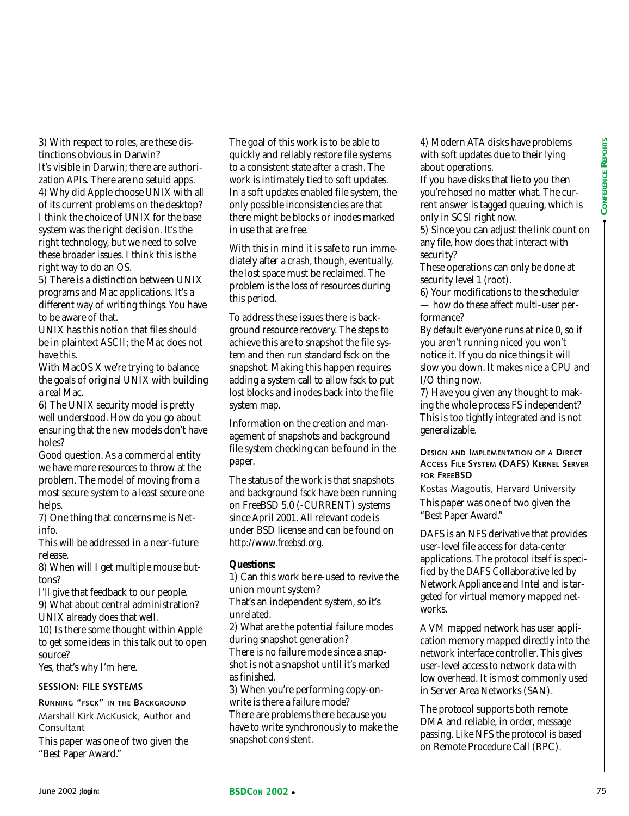3) With respect to roles, are these distinctions obvious in Darwin? It's visible in Darwin; there are authorization APIs. There are no setuid apps. 4) Why did Apple choose UNIX with all of its current problems on the desktop? I think the choice of UNIX for the base system was the right decision. It's the right technology, but we need to solve these broader issues. I think this is the right way to do an OS.

5) There is a distinction between UNIX programs and Mac applications. It's a different way of writing things. You have to be aware of that.

UNIX has this notion that files should be in plaintext ASCII; the Mac does not have this.

With MacOS X we're trying to balance the goals of original UNIX with building a real Mac.

6) The UNIX security model is pretty well understood. How do you go about ensuring that the new models don't have holes?

Good question. As a commercial entity we have more resources to throw at the problem. The model of moving from a most secure system to a least secure one helps.

7) One thing that concerns me is Netinfo.

This will be addressed in a near-future release.

8) When will I get multiple mouse buttons?

I'll give that feedback to our people. 9) What about central administration?

UNIX already does that well.

10) Is there some thought within Apple to get some ideas in this talk out to open source?

Yes, that's why I'm here.

#### **SESSION: FILE SYSTEMS**

**RUNNING "FSCK" IN THE BACKGROUND** Marshall Kirk McKusick, Author and Consultant

This paper was one of two given the "Best Paper Award."

The goal of this work is to be able to quickly and reliably restore file systems to a consistent state after a crash. The work is intimately tied to soft updates. In a soft updates enabled file system, the only possible inconsistencies are that there might be blocks or inodes marked in use that are free.

With this in mind it is safe to run immediately after a crash, though, eventually, the lost space must be reclaimed. The problem is the loss of resources during this period.

symma we the right declines the focosynma we have a similar the right declines the right declines in the right declines in the right declines in the right declines in the right declines in the right declines in the right d To address these issues there is background resource recovery. The steps to achieve this are to snapshot the file system and then run standard fsck on the snapshot. Making this happen requires adding a system call to allow fsck to put lost blocks and inodes back into the file system map.

Information on the creation and management of snapshots and background file system checking can be found in the paper.

The status of the work is that snapshots and background fsck have been running on FreeBSD 5.0 (-CURRENT) systems since April 2001. All relevant code is under BSD license and can be found on *<http://www.freebsd.org>*.

#### **Questions:**

1) Can this work be re-used to revive the union mount system?

That's an independent system, so it's unrelated.

2) What are the potential failure modes during snapshot generation? There is no failure mode since a snapshot is not a snapshot until it's marked as finished.

3) When you're performing copy-onwrite is there a failure mode? There are problems there because you have to write synchronously to make the snapshot consistent.

4) Modern ATA disks have problems with soft updates due to their lying about operations.

If you have disks that lie to you then you're hosed no matter what. The current answer is tagged queuing, which is only in SCSI right now.

5) Since you can adjust the link count on any file, how does that interact with security?

These operations can only be done at security level 1 (root).

6) Your modifications to the scheduler — how do these affect multi-user performance?

By default everyone runs at nice 0, so if you aren't running niced you won't notice it. If you do nice things it will slow you down. It makes nice a CPU and I/O thing now.

7) Have you given any thought to making the whole process FS independent? This is too tightly integrated and is not generalizable.

#### **DESIGN AND IMPLEMENTATION OF A DIRECT ACCESS FILE SYSTEM (DAFS) KERNEL SERVER FOR FREEBSD**

Kostas Magoutis, Harvard University This paper was one of two given the "Best Paper Award."

DAFS is an NFS derivative that provides user-level file access for data-center applications. The protocol itself is specified by the DAFS Collaborative led by Network Appliance and Intel and is targeted for virtual memory mapped networks.

A VM mapped network has user application memory mapped directly into the network interface controller. This gives user-level access to network data with low overhead. It is most commonly used in Server Area Networks (SAN).

The protocol supports both remote DMA and reliable, in order, message passing. Like NFS the protocol is based on Remote Procedure Call (RPC).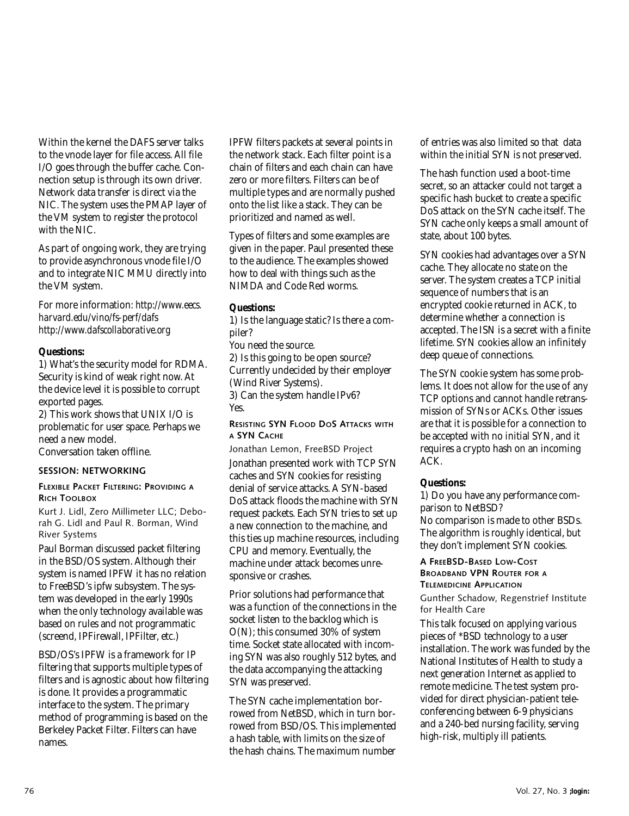Within the kernel the DAFS server talks to the vnode layer for file access. All file I/O goes through the buffer cache. Connection setup is through its own driver. Network data transfer is direct via the NIC. The system uses the PMAP layer of the VM system to register the protocol with the NIC.

As part of ongoing work, they are trying to provide asynchronous vnode file I/O and to integrate NIC MMU directly into the VM system.

For more information: *[http://www.eecs.](http://www.eecs) harvard.edu/vino/fs-perf/dafs <http://www.dafscollaborative.org>*

#### **Questions:**

1) What's the security model for RDMA. Security is kind of weak right now. At the device level it is possible to corrupt exported pages.

2) This work shows that UNIX I/O is problematic for user space. Perhaps we need a new model.

Conversation taken offline.

#### **SESSION: NETWORKING**

#### **FLEXIBLE PACKET FILTERING: PROVIDING A RICH TOOLBOX**

Kurt J. Lidl, Zero Millimeter LLC; Deborah G. Lidl and Paul R. Borman, Wind River Systems

Paul Borman discussed packet filtering in the BSD/OS system. Although their system is named IPFW it has no relation to FreeBSD's ipfw subsystem. The system was developed in the early 1990s when the only technology available was based on rules and not programmatic (screend, IPFirewall, IPFilter, etc.)

BSD/OS's IPFW is a framework for IP filtering that supports multiple types of filters and is agnostic about how filtering is done. It provides a programmatic interface to the system. The primary method of programming is based on the Berkeley Packet Filter. Filters can have names.

IPFW filters packets at several points in the network stack. Each filter point is a chain of filters and each chain can have zero or more filters. Filters can be of multiple types and are normally pushed onto the list like a stack. They can be prioritized and named as well.

Types of filters and some examples are given in the paper. Paul presented these to the audience. The examples showed how to deal with things such as the NIMDA and Code Red worms.

#### **Questions:**

1) Is the language static? Is there a compiler?

You need the source.

2) Is this going to be open source? Currently undecided by their employer (Wind River Systems).

3) Can the system handle IPv6? Yes.

**RESISTING SYN FLOOD DOS ATTACKS WITH A SYN CACHE**

Jonathan Lemon, FreeBSD Project Jonathan presented work with TCP SYN caches and SYN cookies for resisting denial of service attacks. A SYN-based DoS attack floods the machine with SYN request packets. Each SYN tries to set up a new connection to the machine, and this ties up machine resources, including CPU and memory. Eventually, the machine under attack becomes unresponsive or crashes.

Prior solutions had performance that was a function of the connections in the socket listen to the backlog which is O(N); this consumed 30% of system time. Socket state allocated with incoming SYN was also roughly 512 bytes, and the data accompanying the attacking SYN was preserved.

The SYN cache implementation borrowed from NetBSD, which in turn borrowed from BSD/OS. This implemented a hash table, with limits on the size of the hash chains. The maximum number

of entries was also limited so that data within the initial SYN is not preserved.

The hash function used a boot-time secret, so an attacker could not target a specific hash bucket to create a specific DoS attack on the SYN cache itself. The SYN cache only keeps a small amount of state, about 100 bytes.

SYN cookies had advantages over a SYN cache. They allocate no state on the server. The system creates a TCP initial sequence of numbers that is an encrypted cookie returned in ACK, to determine whether a connection is accepted. The ISN is a secret with a finite lifetime. SYN cookies allow an infinitely deep queue of connections.

The SYN cookie system has some problems. It does not allow for the use of any TCP options and cannot handle retransmission of SYNs or ACKs. Other issues are that it is possible for a connection to be accepted with no initial SYN, and it requires a crypto hash on an incoming ACK.

#### **Questions:**

1) Do you have any performance comparison to NetBSD? No comparison is made to other BSDs. The algorithm is roughly identical, but they don't implement SYN cookies.

**A FREEBSD-BASED LOW-COST BROADBAND VPN ROUTER FOR A TELEMEDICINE APPLICATION**

Gunther Schadow, Regenstrief Institute for Health Care

This talk focused on applying various pieces of \*BSD technology to a user installation. The work was funded by the National Institutes of Health to study a next generation Internet as applied to remote medicine. The test system provided for direct physician-patient teleconferencing between 6-9 physicians and a 240-bed nursing facility, serving high-risk, multiply ill patients.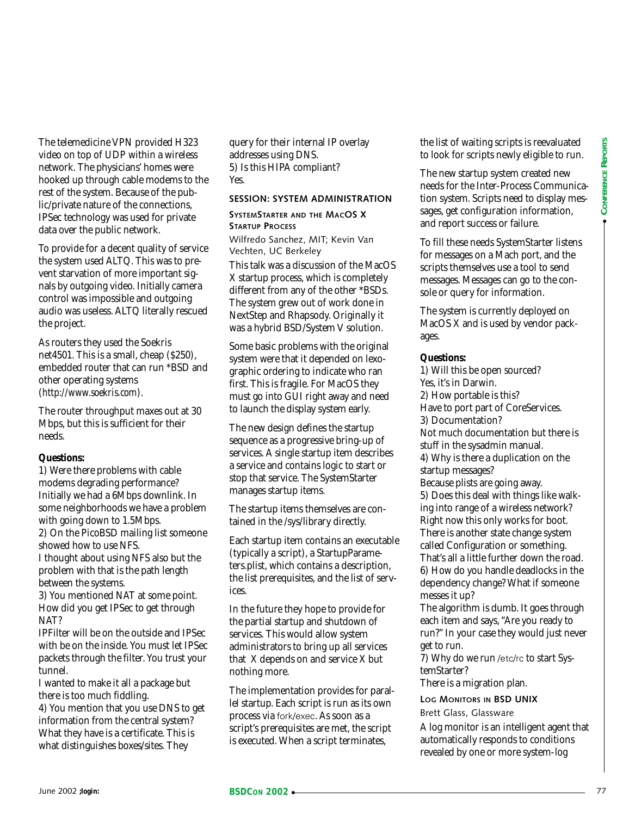The telemedicine VPN provided H323 video on top of UDP within a wireless network. The physicians' homes were hooked up through cable modems to the rest of the system. Because of the public/private nature of the connections, IPSec technology was used for private data over the public network.

To provide for a decent quality of service the system used ALTQ. This was to prevent starvation of more important signals by outgoing video. Initially camera control was impossible and outgoing audio was useless. ALTQ literally rescued the project.

As routers they used the Soekris net4501. This is a small, cheap (\$250), embedded router that can run \*BSD and other operating systems (*<http://www.soekris.com>*).

The router throughput maxes out at 30 Mbps, but this is sufficient for their needs.

#### **Questions:**

1) Were there problems with cable modems degrading performance? Initially we had a 6Mbps downlink. In some neighborhoods we have a problem with going down to 1.5Mbps. 2) On the PicoBSD mailing list someone showed how to use NFS. I thought about using NFS also but the

problem with that is the path length between the systems.

3) You mentioned NAT at some point. How did you get IPSec to get through NAT?

IPFilter will be on the outside and IPSec with be on the inside. You must let IPSec packets through the filter. You trust your tunnel.

I wanted to make it all a package but there is too much fiddling.

4) You mention that you use DNS to get information from the central system? What they have is a certificate. This is what distinguishes boxes/sites. They

query for their internal IP overlay addresses using DNS. 5) Is this HIPA compliant? Yes.

#### **SESSION: SYSTEM ADMINISTRATION**

**SYSTEMSTARTER AND THE MACOS X STARTUP PROCESS**

Wilfredo Sanchez, MIT; Kevin Van Vechten, UC Berkeley

This talk was a discussion of the MacOS X startup process, which is completely different from any of the other \*BSDs. The system grew out of work done in NextStep and Rhapsody. Originally it was a hybrid BSD/System V solution.

Some basic problems with the original system were that it depended on lexographic ordering to indicate who ran first. This is fragile. For MacOS they must go into GUI right away and need to launch the display system early.

The new design defines the startup sequence as a progressive bring-up of services. A single startup item describes a service and contains logic to start or stop that service. The SystemStarter manages startup items.

The startup items themselves are contained in the /sys/library directly.

Each startup item contains an executable (typically a script), a StartupParameters.plist, which contains a description, the list prerequisites, and the list of services.

In the future they hope to provide for the partial startup and shutdown of services. This would allow system administrators to bring up all services that X depends on and service X but nothing more.

The implementation provides for parallel startup. Each script is run as its own process via fork/exec. As soon as a script's prerequisites are met, the script is executed. When a script terminates,

the list of waiting scripts is reevaluated to look for scripts newly eligible to run.

The new startup system created new needs for the Inter-Process Communication system. Scripts need to display messages, get configuration information, and report success or failure.

To fill these needs SystemStarter listens for messages on a Mach port, and the scripts themselves use a tool to send messages. Messages can go to the console or query for information.

The system is currently deployed on MacOS X and is used by vendor packages.

#### **Questions:**

dia over the politic stressor in the stressor in the stressor in the stressor in the stressor in the stressor in the stressor in the stressor in the stressor in the stressor in the stressor in the stressor in the stressor 1) Will this be open sourced? Yes, it's in Darwin. 2) How portable is this? Have to port part of CoreServices. 3) Documentation? Not much documentation but there is stuff in the sysadmin manual. 4) Why is there a duplication on the startup messages? Because plists are going away. 5) Does this deal with things like walking into range of a wireless network? Right now this only works for boot. There is another state change system called Configuration or something. That's all a little further down the road. 6) How do you handle deadlocks in the dependency change? What if someone messes it up?

The algorithm is dumb. It goes through each item and says, "Are you ready to run?" In your case they would just never get to run.

7) Why do we run /etc/rc to start SystemStarter?

There is a migration plan.

**LOG MONITORS IN BSD UNIX** Brett Glass, Glassware

A log monitor is an intelligent agent that automatically responds to conditions revealed by one or more system-log